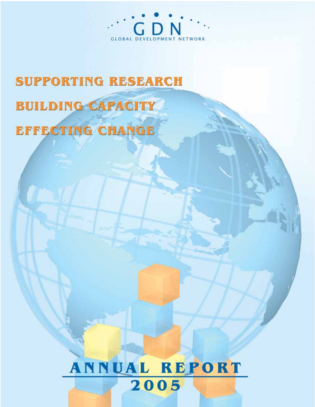

# **SUPPORTING RESEARCH BUILDING CAPACITY EFFECTING CHANGE**

# **ANNUAL REPORT** 2005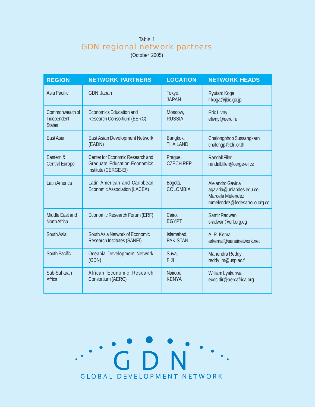# Table 1 GDN regional network partners

(October 2005)

| <b>REGION</b>                                   | <b>NETWORK PARTNERS</b>                                                                                | <b>LOCATION</b>             | <b>NETWORK HEADS</b>                                                                               |
|-------------------------------------------------|--------------------------------------------------------------------------------------------------------|-----------------------------|----------------------------------------------------------------------------------------------------|
| Asia Pacific                                    | <b>GDN</b> Japan                                                                                       | Tokyo,<br><b>JAPAN</b>      | Ryutaro Koga<br>r-koga@jbic.go.jp                                                                  |
| Commonwealth of<br>Independent<br><b>States</b> | <b>Economics Education and</b><br>Research Consortium (EERC)                                           | Moscow,<br><b>RUSSIA</b>    | <b>Eric Livny</b><br>elivny@eerc.ru                                                                |
| East Asia                                       | <b>East Asian Development Network</b>                                                                  | Bangkok,                    | Chalongphob Sussangkarn                                                                            |
|                                                 | (EADN)                                                                                                 | <b>THAILAND</b>             | chalongp@tdri.or.th                                                                                |
| Fastern &<br><b>Central Europe</b>              | <b>Center for Economic Research and</b><br><b>Graduate Education-Economics</b><br>Institute (CERGE-EI) | Prague,<br><b>CZECH REP</b> | <b>Randall Filer</b><br>randall.filer@cerge-ei.cz                                                  |
| Latin America                                   | Latin American and Caribbean<br><b>Economic Association (LACEA)</b>                                    | Bogotá,<br><b>COLOMBIA</b>  | Alejandro Gaviria<br>agaviria@uniandes.edu.co<br>Marcela Melendez<br>mmelendez@fedesarrollo.org.co |
| Middle East and                                 | Economic Research Forum (ERF)                                                                          | Cairo,                      | Samir Radwan                                                                                       |
| North Africa                                    |                                                                                                        | <b>EGYPT</b>                | sradwan@erf.org.eg                                                                                 |
| South Asia                                      | South Asia Network of Economic                                                                         | Islamabad,                  | A. R. Kemal                                                                                        |
|                                                 | <b>Research Institutes (SANEI)</b>                                                                     | <b>PAKISTAN</b>             | arkemal@saneinetwork.net                                                                           |
| <b>South Pacific</b>                            | Oceania Development Network                                                                            | Suva,                       | Mahendra Reddy                                                                                     |
|                                                 | (ODN)                                                                                                  | <b>FIJI</b>                 | reddy_m@usp.ac.fj                                                                                  |
| Sub-Saharan                                     | African Economic Research                                                                              | Nairobi,                    | William Lyakurwa                                                                                   |
| Africa                                          | Consortium (AERC)                                                                                      | <b>KFNYA</b>                | exec.dir@aercafrica.org                                                                            |

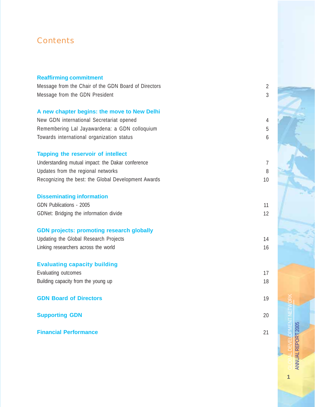# **Contents**

| <b>Reaffirming commitment</b>                        |                |
|------------------------------------------------------|----------------|
| Message from the Chair of the GDN Board of Directors | $\overline{2}$ |
| Message from the GDN President                       | $\mathfrak{Z}$ |
|                                                      |                |
| A new chapter begins: the move to New Delhi          |                |
| New GDN international Secretariat opened             | $\overline{4}$ |
| Remembering Lal Jayawardena: a GDN colloquium        | 5              |
| Towards international organization status            | 6              |
| Tapping the reservoir of intellect                   |                |
| Understanding mutual impact: the Dakar conference    | $\overline{7}$ |
| Updates from the regional networks                   | 8              |
| Recognizing the best: the Global Development Awards  | 10             |
|                                                      |                |
| <b>Disseminating information</b>                     |                |
| GDN Publications - 2005                              | 11             |
| GDNet: Bridging the information divide               | 12             |
| <b>GDN projects: promoting research globally</b>     |                |
| Updating the Global Research Projects                | 14             |
| Linking researchers across the world                 | 16             |
|                                                      |                |
| <b>Evaluating capacity building</b>                  |                |
| Evaluating outcomes                                  | 17             |
| Building capacity from the young up                  | 18             |
| <b>GDN Board of Directors</b>                        | 19             |
| <b>Supporting GDN</b>                                | 20             |
| <b>Financial Performance</b>                         | 21             |
|                                                      |                |

GLOBAL DEVELOPMENT NETWORK **ANNUAL REPORT 2005** ANNUAL REPORT 2005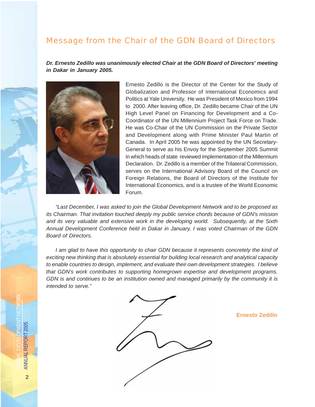## Message from the Chair of the GDN Board of Directors

*Dr. Ernesto Zedillo was unanimously elected Chair at the GDN Board of Directors' meeting in Dakar in January 2005.*



Ernesto Zedillo is the Director of the Center for the Study of Globalization and Professor of International Economics and Politics at Yale University. He was President of Mexico from 1994 to 2000. After leaving office, Dr. Zedillo became Chair of the UN High Level Panel on Financing for Development and a Co-Coordinator of the UN Millennium Project Task Force on Trade. He was Co-Chair of the UN Commission on the Private Sector and Development along with Prime Minister Paul Martin of Canada. In April 2005 he was appointed by the UN Secretary-General to serve as his Envoy for the September 2005 Summit in which heads of state reviewed implementation of the Millennium Declaration. Dr. Zedillo is a member of the Trilateral Commission, serves on the International Advisory Board of the Council on Foreign Relations, the Board of Directors of the Institute for International Economics, and is a trustee of the World Economic Forum.

*"Last December, I was asked to join the Global Development Network and to be proposed as its Chairman. That invitation touched deeply my public service chords because of GDN's mission and its very valuable and extensive work in the developing world. Subsequently, at the Sixth Annual Development Conference held in Dakar in January, I was voted Chairman of the GDN Board of Directors.*

*I am glad to have this opportunity to chair GDN because it represents concretely the kind of exciting new thinking that is absolutely essential for building local research and analytical capacity to enable countries to design, implement, and evaluate their own development strategies. I believe that GDN's work contributes to supporting homegrown expertise and development programs. GDN is and continues to be an institution owned and managed primarily by the community it is intended to serve."*



 **Ernesto Zedillo**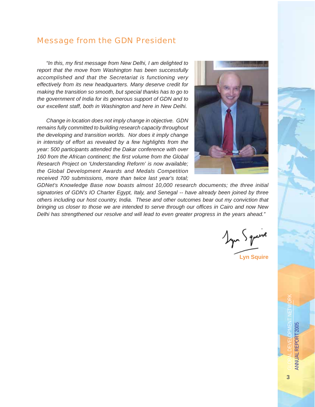### Message from the GDN President

*"In this, my first message from New Delhi, I am delighted to report that the move from Washington has been successfully accomplished and that the Secretariat is functioning very effectively from its new headquarters. Many deserve credit for making the transition so smooth, but special thanks has to go to the government of India for its generous support of GDN and to our excellent staff, both in Washington and here in New Delhi.*

*Change in location does not imply change in objective. GDN remains fully committed to building research capacity throughout the developing and transition worlds. Nor does it imply change in intensity of effort as revealed by a few highlights from the year: 500 participants attended the Dakar conference with over 160 from the African continent; the first volume from the Global Research Project on 'Understanding Reform' is now available; the Global Development Awards and Medals Competition received 700 submissions, more than twice last year's total;*



*GDNet's Knowledge Base now boasts almost 10,000 research documents; the three initial signatories of GDN's IO Charter Egypt, Italy, and Senegal -- have already been joined by three others including our host country, India. These and other outcomes bear out my conviction that bringing us closer to those we are intended to serve through our offices in Cairo and now New Delhi has strengthened our resolve and will lead to even greater progress in the years ahead."*

**Lyn Squire**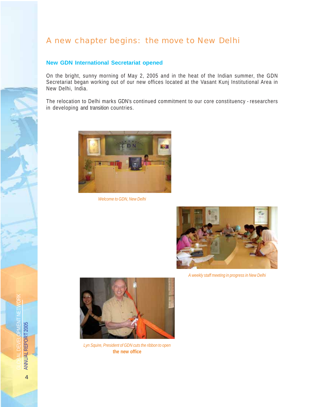# A new chapter begins: the move to New Delhi

#### **New GDN International Secretariat opened**

On the bright, sunny morning of May 2, 2005 and in the heat of the Indian summer, the GDN Secretariat began working out of our new offices located at the Vasant Kunj Institutional Area in New Delhi, India.

The relocation to Delhi marks GDN's continued commitment to our core constituency - researchers in developing and transition countries.



*Welcome to GDN, New Delhi*



*A weekly staff meeting in progress in New Delhi*



*Lyn Squire, President of GDN cuts the ribbon to open* **the new office**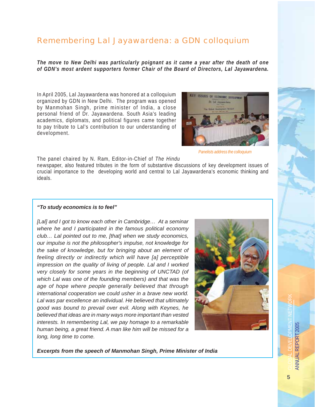# Remembering Lal Jayawardena: a GDN colloquium

*The move to New Delhi was particularly poignant as it came a year after the death of one of GDN's most ardent supporters former Chair of the Board of Directors, Lal Jayawardena.*

In April 2005, Lal Jayawardena was honored at a colloquium organized by GDN in New Delhi. The program was opened by Manmohan Singh, prime minister of India, a close personal friend of Dr. Jayawardena. South Asia's leading academics, diplomats, and political figures came together to pay tribute to Lal's contribution to our understanding of development.



*Panelists address the colloquium*

The panel chaired by N. Ram, Editor-in-Chief of *The Hindu* newspaper, also featured tributes in the form of substantive discussions of key development issues of crucial importance to the developing world and central to Lal Jayawardena's economic thinking and ideals.

#### *"To study economics is to feel"*

*[Lal] and I got to know each other in Cambridge… At a seminar where he and I participated in the famous political economy club… Lal pointed out to me, [that] when we study economics, our impulse is not the philosopher's impulse, not knowledge for the sake of knowledge, but for bringing about an element of feeling directly or indirectly which will have [a] perceptible impression on the quality of living of people. Lal and I worked very closely for some years in the beginning of UNCTAD (of which Lal was one of the founding members) and that was the age of hope where people generally believed that through international cooperation we could usher in a brave new world. Lal was par excellence an individual. He believed that ultimately good was bound to prevail over evil. Along with Keynes, he believed that ideas are in many ways more important than vested interests. In remembering Lal, we pay homage to a remarkable human being, a great friend. A man like him will be missed for a long, long time to come.*



*Excerpts from the speech of Manmohan Singh, Prime Minister of India*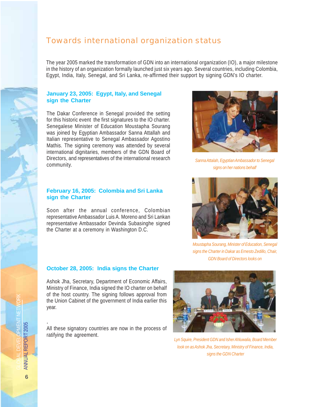## Towards international organization status

The year 2005 marked the transformation of GDN into an international organization (IO), a major milestone in the history of an organization formally launched just six years ago. Several countries, including Colombia, Egypt, India, Italy, Senegal, and Sri Lanka, re-affirmed their support by signing GDN's IO charter.

#### **January 23, 2005: Egypt, Italy, and Senegal sign the Charter**

The Dakar Conference in Senegal provided the setting for this historic event the first signatures to the IO charter. Senegalese Minister of Education Moustapha Sourang was joined by Egyptian Ambassador Sanna Attallah and Italian representative to Senegal Ambassador Agostino Mathis. The signing ceremony was attended by several international dignitaries, members of the GDN Board of Directors, and representatives of the international research community.

#### **February 16, 2005: Colombia and Sri Lanka sign the Charter**

Soon after the annual conference, Colombian representative Ambassador Luis A. Moreno and Sri Lankan representative Ambassador Devinda Subasinghe signed the Charter at a ceremony in Washington D.C.

#### **October 28, 2005: India signs the Charter**

Ashok Jha, Secretary, Department of Economic Affairs, Ministry of Finance, India signed the IO charter on behalf of the host country. The signing follows approval from the Union Cabinet of the government of India earlier this year.

All these signatory countries are now in the process of ratifying the agreement.

#### *Lyn Squire, President GDN and Isher Ahluwalia, Board Member look on as Ashok Jha, Secretary, Ministry of Finance, India, signs the GDN Charter*

*signs the Charter in Dakar as Ernesto Zedillo, Chair, GDN Board of Directors looks on*



*Sanna Attalah, Egyptian Ambassador to Senegal signs on her nations behalf*





.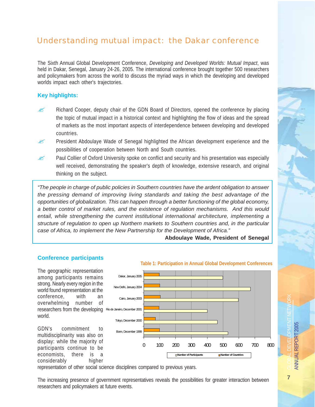# Understanding mutual impact: the Dakar conference

The Sixth Annual Global Development Conference, *Developing and Developed Worlds: Mutual Impact*, was held in Dakar, Senegal, January 24-26, 2005. The international conference brought together 500 researchers and policymakers from across the world to discuss the myriad ways in which the developing and developed worlds impact each other's trajectories.

#### **Key highlights:**

- $\approx$  Richard Cooper, deputy chair of the GDN Board of Directors, opened the conference by placing the topic of mutual impact in a historical context and highlighting the flow of ideas and the spread of markets as the most important aspects of interdependence between developing and developed countries.
- $\approx$  President Abdoulaye Wade of Senegal highlighted the African development experience and the possibilities of cooperation between North and South countries.
- $\mathscr{L}$  Paul Collier of Oxford University spoke on conflict and security and his presentation was especially well received, demonstrating the speaker's depth of knowledge, extensive research, and original thinking on the subject.

*"The people in charge of public policies in Southern countries have the ardent obligation to answer the pressing demand of improving living standards and taking the best advantage of the opportunities of globalization. This can happen through a better functioning of the global economy, a better control of market rules, and the existence of regulation mechanisms. And this would entail, while strengthening the current institutional international architecture, implementing a structure of regulation to open up Northern markets to Southern countries and, in the particular case of Africa, to implement the New Partnership for the Development of Africa."*

**Abdoulaye Wade, President of Senegal**



#### **Conference participants**

representation of other social science disciplines compared to previous years.

The increasing presence of government representatives reveals the possibilities for greater interaction between researchers and policymakers at future events.

GLOBAL DEVELOPMENT NETWORK ANNUAL REPORT 2005 **ANNUAL REPORT 2005**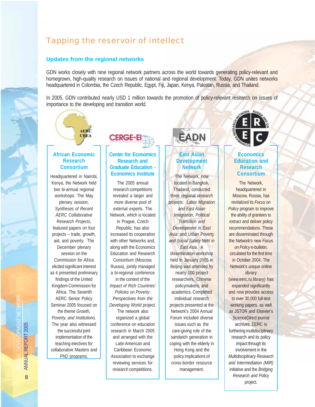# Tapping the reservoir of intellect

#### **Updates from the regional networks**

GDN works closely with nine regional network partners across the world towards generating policy-relevant and homegrown, high-quality research on issues of national and regional development. Today, GDN unites networks headquartered in Colombia, the Czech Republic, Egypt, Fiji, Japan, Kenya, Pakistan, Russia, and Thailand.

In 2005, GDN contributed nearly USD 1 million towards the promotion of policy-relevant research on issues of importance to the developing and transition world.



#### **African Economic Research Consortium**

Headquartered in Nairobi, Kenya, the Network held two bi-annual regional workshops. The May plenary session, *Syntheses of Recent AERC Collaborative Research Projects,* featured papers on four projects – trade, growth, aid, and poverty. The December plenary session on the *Commission for Africa* elicited significant interest as it presented preliminary findings of the United Kingdom Commission for Africa. The Seventh AERC Senior Policy Seminar 2005 focused on the theme *Growth, Poverty, and Institutions.* The year also witnessed the successful joint implementation of the teaching electives for collaborative Masters and PhD programs.



#### **Center for Economics Research and Graduate Education - Economics Institute**

The 2005 annual research competitions revealed a larger and more diverse pool of external experts. The Network, which is located in Prague, Czech Republic, has also increased its cooperation with other Networks and, along with the Economics Education and Research Consortium (Moscow, Russia), jointly managed a bi-regional conference in the context of the *Impact of Rich Countries' Policies on Poverty: Perspectives from the Developing World* project. The network also organized a global conference on education research in March 2005 and arranged with the Latin American and Caribbean Economic Association to exchange reviewing services for research competitions.



#### **East Asian Development Network**

The Network, now located in Bangkok, Thailand, conducted three regional research projects: *Labor Migration and East Asian Integration*; *Political Transition and Development in East Asia*; and *Urban Poverty and Social Safety Nets in East Asia*. A dissemination workshop held in January 2005 in Beijing was attended by nearly 100 project researchers, Chinese policymakers, and academics. Completed individual research projects presented at the Network's 2004 Annual Forum included diverse issues such as the care-giving role of the sandwich generation in coping with the elderly in Hong Kong and the policy implications of cross-border resource management.



#### **Economics Education and Research Consortium**

The Network, headquartered in Moscow, Russia, has revitalized its *Focus on Policy* program to improve the ability of grantees to extract and deliver policy recommendations. These are disseminated through the Network's new *Focus on Policy* e-bulletin, circulated for the first time in October 2004. The Network's unique online library (www.eerc.ru.library) has expanded significantly and now provides access to over 30,000 full-text working papers, as well as JSTOR and Elsevier's ScienceDirect journal archives. EERC is furthering multidisciplinary research and its policy impact through its involvement in the *Multidisciplinary Research and Intermediation (MIR)* initiative and the *Bridging Research and Policy* project.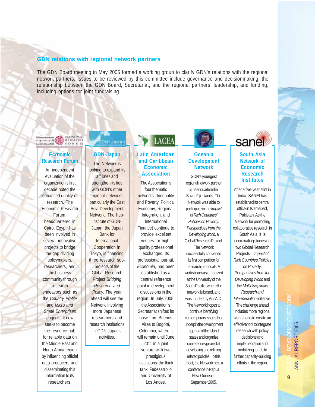#### **GDN relations with regional network partners**

The GDN Board meeting in May 2005 formed a working group to clarify GDN's relations with the regional network partners. Issues to be reviewed by this committee include governance and decisionmaking; the relationship between the GDN Board, Secretariat, and the regional partners' leadership, and funding, including options for joint fundraising.



#### **Economic Research Forum**

An independent evaluation of the organization's first decade noted the enhanced quality of research. The Economic Research Forum, headquartered in Cairo, Egypt, has been involved in several innovative projects to bridge the gap dividing policymakers, researchers, and the business community through research endeavors such as the *Country Profile* and *Micro and Small Enterprises* projects. It now seeks to become the resource hub for reliable data on the Middle East and North Africa region by influencing official data producers and disseminating this information to its researchers.

# GDN-Japan

**GDN-Japan** The Network is looking to expand its affiliates and strengthen its ties with GDN's other regional networks, particularly the East Asia Development Network. The hubinstitute of GDN-Japan, the Japan Bank for **International** Cooperation in Tokyo, is financing three research subprojects of the Global Research Project *Bridging Research and Policy*. The year ahead will see the Network involving more Japanese researchers and research institutions in GDN-Japan's activities.

# **LACEA**

#### **Latin American and Caribbean Economic Association**

The Association's four thematic networks (Inequality and Poverty, Political Economy, Regional Integration, and International Finance) continue to provide excellent venues for highquality professional exchanges. Its professional journal, *Economia*, has been established as a central reference point in development discussions in the region. In July 2005, the Association's Secretariat shifted its base from Buenos Aires to Bogotá, Colombia, where it will remain until June 2011 in a joint venture with two prestigious institutions: the think tank Fedesarrollo and University of Los Andes.



#### **Oceania Development Network**

GDN's youngest regional network partner is headquartered in Suva, Fiji Islands. The Network was able to participate in the *Impact of Rich Countries' Policies on Poverty: Perspectives from the Developing world,* a Global Research Project. The Network successfully convened its first competition for research proposals. A workshop was organized at the University of the South Pacific, where the network is based, and was funded by AusAID. The Network hopes to continue identifying contemporary issues that underpin the development agenda of the Island states and organize conferences geared at developing and refining related policies. To this effect, the Network held a conference in Papua New Guinea in September 2005.



#### **South Asia Network of Economic Research Institutes**

After a five-year stint in India, SANEI has established its central office in Islamabad, Pakistan. As the Network for promoting collaborative research in South Asia, it is coordinating studies on two Global Research Projects – *Impact of Rich Countries Policies on Poverty: Perspectives from the Developing World* and the *Multidisciplinary Research and Intermediation* initiative. The challenge ahead includes more regional workshops to create an effective tool to integrate research with policy decisions and implementation and mobilizing funds to further capacity-building efforts in the region.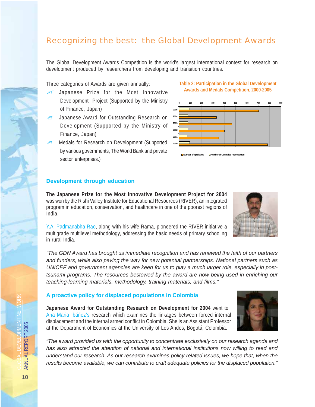# Recognizing the best: the Global Development Awards

The Global Development Awards Competition is the world's largest international contest for research on development produced by researchers from developing and transition countries.

Three categories of Awards are given annually:

- $\mathscr{L}$  Japanese Prize for the Most Innovative Development Project (Supported by the Ministry of Finance, Japan)
- Japanese Award for Outstanding Research on Development (Supported by the Ministry of Finance, Japan)
- Medals for Research on Development (Supported by various governments, The World Bank and private sector enterprises.)

#### **Development through education**

**The Japanese Prize for the Most Innovative Development Project for 2004** was won by the Rishi Valley Institute for Educational Resources (RIVER), an integrated program in education, conservation, and healthcare in one of the poorest regions of India.

Y.A. Padmanabha Rao, along with his wife Rama, pioneered the RIVER initiative a multigrade multilevel methodology, addressing the basic needs of primary schooling in rural India.

*"The GDN Award has brought us immediate recognition and has renewed the faith of our partners and funders, while also paving the way for new potential partnerships. National partners such as UNICEF and government agencies are keen for us to play a much larger role, especially in posttsunami programs. The resources bestowed by the award are now being used in enriching our teaching-learning materials, methodology, training materials, and films."*

#### **A proactive policy for displaced populations in Colombia**

**Japanese Award for Outstanding Research on Development for 2004** went to Ana Maria Ibáñez's research which examines the linkages between forced internal displacement and the internal armed conflict in Colombia. She is an Assistant Professor at the Department of Economics at the University of Los Andes, Bogotá, Colombia.

*"The award provided us with the opportunity to concentrate exclusively on our research agenda and has also attracted the attention of national and international institutions now willing to read and understand our research. As our research examines policy-related issues, we hope that, when the results become available, we can contribute to craft adequate policies for the displaced population."*







**Table 2: Participation in the Global Development**



**Number of Countries Represent**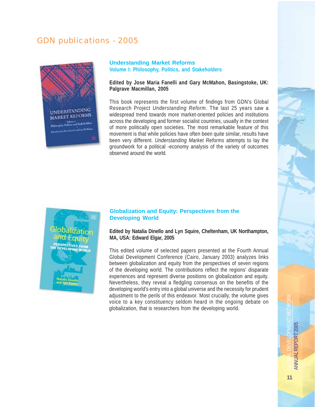# GDN publications - 2005



#### **Understanding Market Reforms Volume I: Philosophy, Politics, and Stakeholders**

**Edited by Jose Maria Fanelli and Gary McMahon, Basingstoke, UK: Palgrave Macmillan, 2005**

This book represents the first volume of findings from GDN's Global Research Project *Understanding Reform*. The last 25 years saw a widespread trend towards more market-oriented policies and institutions across the developing and former socialist countries, usually in the context of more politically open societies. The most remarkable feature of this movement is that while policies have often been quite similar, results have been very different. *Understanding Market Reforms* attempts to lay the groundwork for a political -economy analysis of the variety of outcomes observed around the world.



#### **Globalization and Equity: Perspectives from the Developing World**

**Edited by Natalia Dinello and Lyn Squire, Cheltenham, UK Northampton, MA, USA: Edward Elgar, 2005**

This edited volume of selected papers presented at the Fourth Annual Global Development Conference (Cairo, January 2003) analyzes links between globalization and equity from the perspectives of seven regions of the developing world. The contributions reflect the regions' disparate experiences and represent diverse positions on globalization and equity. Nevertheless, they reveal a fledgling consensus on the benefits of the developing world's entry into a global universe and the necessity for prudent adjustment to the perils of this endeavor. Most crucially, the volume gives voice to a key constituency seldom heard in the ongoing debate on globalization, that is researchers from the developing world.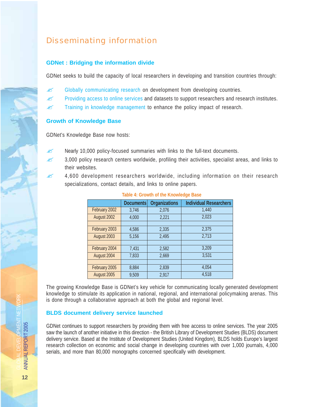# Disseminating information

#### **GDNet : Bridging the information divide**

GDNet seeks to build the capacity of local researchers in developing and transition countries through:

- $\mathscr{L}$  Globally communicating research on development from developing countries.
- Providing access to online services and datasets to support researchers and research institutes.
- $\mathscr{L}$  Training in knowledge management to enhance the policy impact of research.

#### **Growth of Knowledge Base**

GDNet's Knowledge Base now hosts:

- $\approx$  Nearly 10,000 policy-focused summaries with links to the full-text documents.
- $\approx$  3,000 policy research centers worldwide, profiling their activities, specialist areas, and links to their websites.
- $\approx$  4,600 development researchers worldwide, including information on their research specializations, contact details, and links to online papers.

|               | <b>Documents</b> | <b>Organizations</b> | <b>Individual Researchers</b> |
|---------------|------------------|----------------------|-------------------------------|
| February 2002 | 3,746            | 2,076                | 1,440                         |
| August 2002   | 4,000            | 2,221                | 2,023                         |
|               |                  |                      |                               |
| February 2003 | 4,586            | 2,335                | 2,375                         |
| August 2003   | 5,156            | 2,495                | 2,713                         |
|               |                  |                      |                               |
| February 2004 | 7,431            | 2,582                | 3,209                         |
| August 2004   | 7,833            | 2,669                | 3,531                         |
|               |                  |                      |                               |
| February 2005 | 8,884            | 2,839                | 4,054                         |
| August 2005   | 9,509            | 2,917                | 4,518                         |

#### **Table 4: Growth of the Knowledge Base**

The growing Knowledge Base is GDNet's key vehicle for communicating locally generated development knowledge to stimulate its application in national, regional, and international policymaking arenas. This is done through a collaborative approach at both the global and regional level.

#### **BLDS document delivery service launched**

GDNet continues to support researchers by providing them with free access to online services. The year 2005 saw the launch of another initiative in this direction - the British Library of Development Studies (BLDS) document delivery service. Based at the Institute of Development Studies (United Kingdom), BLDS holds Europe's largest research collection on economic and social change in developing countries with over 1,000 journals, 4,000 serials, and more than 80,000 monographs concerned specifically with development.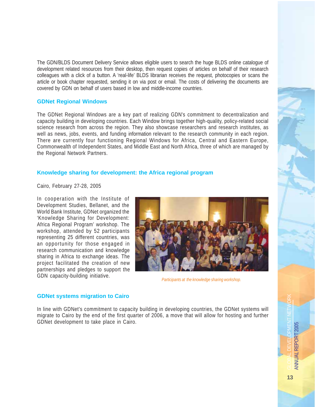The GDN/BLDS Document Delivery Service allows eligible users to search the huge BLDS online catalogue of development related resources from their desktop, then request copies of articles on behalf of their research colleagues with a click of a button. A 'real-life' BLDS librarian receives the request, photocopies or scans the article or book chapter requested, sending it on via post or email. The costs of delivering the documents are covered by GDN on behalf of users based in low and middle-income countries.

#### **GDNet Regional Windows**

The GDNet Regional Windows are a key part of realizing GDN's commitment to decentralization and capacity building in developing countries. Each Window brings together high-quality, policy-related social science research from across the region. They also showcase researchers and research institutes, as well as news, jobs, events, and funding information relevant to the research community in each region. There are currently four functioning Regional Windows for Africa, Central and Eastern Europe, Commonwealth of Independent States, and Middle East and North Africa, three of which are managed by the Regional Network Partners.

#### **Knowledge sharing for development: the Africa regional program**

Cairo, February 27-28, 2005

In cooperation with the Institute of Development Studies, Bellanet, and the World Bank Institute, GDNet organized the 'Knowledge Sharing for Development: Africa Regional Program' workshop. The workshop, attended by 52 participants representing 25 different countries, was an opportunity for those engaged in research communication and knowledge sharing in Africa to exchange ideas. The project facilitated the creation of new partnerships and pledges to support the GDN capacity-building initiative.



*Participants at the knowledge sharing workshop.*

#### **GDNet systems migration to Cairo**

In line with GDNet's commitment to capacity building in developing countries, the GDNet systems will migrate to Cairo by the end of the first quarter of 2006, a move that will allow for hosting and further GDNet development to take place in Cairo.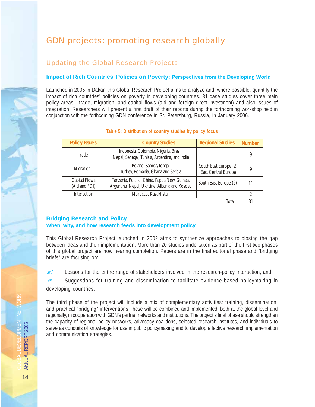# GDN projects: promoting research globally

#### *Updating the Global Research Projects*

#### **Impact of Rich Countries' Policies on Poverty: Perspectives from the Developing World**

Launched in 2005 in Dakar, this Global Research Project aims to analyze and, where possible, quantify the impact of rich countries' policies on poverty in developing countries. 31 case studies cover three main policy areas - trade, migration, and capital flows (aid and foreign direct investment) and also issues of integration. Researchers will present a first draft of their reports during the forthcoming workshop held in conjunction with the forthcoming GDN conference in St. Petersburg, Russia, in January 2006.

| <b>Policy Issues</b>           | <b>Country Studies</b>                                                                      | <b>Regional Studies</b>                      | <b>Number</b> |
|--------------------------------|---------------------------------------------------------------------------------------------|----------------------------------------------|---------------|
| Trade                          | Indonesia, Colombia, Nigeria, Brazil,<br>Nepal, Senegal, Tunisia, Argentina, and India      |                                              | 9             |
| Migration                      | Poland, Samoa/Tonga,<br>Turkey, Romania, Ghana and Serbia                                   | South East Europe (2)<br>East Central Europe | q             |
| Capital Flows<br>(Aid and FDI) | Tanzania, Poland, China, Papua New Guinea,<br>Argentina, Nepal, Ukraine, Albania and Kosovo | South East Europe (2)                        | 11            |
| Interaction                    | Morocco, Kazakhstan                                                                         |                                              | 2             |
|                                |                                                                                             | Total:                                       | 31            |

#### **Table 5: Distribution of country studies by policy focus**

#### **Bridging Research and Policy**

#### **When, why, and how research feeds into development policy**

This Global Research Project launched in 2002 aims to synthesize approaches to closing the gap between ideas and their implementation. More than 20 studies undertaken as part of the first two phases of this global project are now nearing completion. Papers are in the final editorial phase and "bridging briefs" are focusing on:

 $\approx$  Lessons for the entire range of stakeholders involved in the research-policy interaction, and

 $\mathscr{\mathscr{Q}}$  Suggestions for training and dissemination to facilitate evidence-based policymaking in developing countries.

The third phase of the project will include a mix of complementary activities: training, dissemination, and practical "bridging" interventions.These will be combined and implemented, both at the global level and regionally, in cooperation with GDN's partner networks and institutions. The project's final phase should strengthen the capacity of regional policy networks, advocacy coalitions, selected research institutes, and individuals to serve as conduits of knowledge for use in public policymaking and to develop effective research implementation and communication strategies.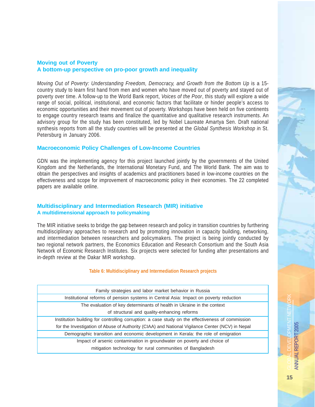#### **Moving out of Poverty A bottom-up perspective on pro-poor growth and inequality**

*Moving Out of Poverty: Understanding Freedom, Democracy, and Growth from the Bottom Up* is a 15 country study to learn first hand from men and women who have moved out of poverty and stayed out of poverty over time. A follow-up to the World Bank report, *Voices of the Poor*, this study will explore a wide range of social, political, institutional, and economic factors that facilitate or hinder people's access to economic opportunities and their movement out of poverty. Workshops have been held on five continents to engage country research teams and finalize the quantitative and qualitative research instruments. An advisory group for the study has been constituted, led by Nobel Laureate Amartya Sen. Draft national synthesis reports from all the study countries will be presented at the *Global Synthesis Workshop i*n St. Petersburg in January 2006.

#### **Macroeconomic Policy Challenges of Low-Income Countries**

GDN was the implementing agency for this project launched jointly by the governments of the United Kingdom and the Netherlands, the International Monetary Fund, and The World Bank. The aim was to obtain the perspectives and insights of academics and practitioners based in low-income countries on the effectiveness and scope for improvement of macroeconomic policy in their economies. The 22 completed papers are available online.

#### **Multidisciplinary and Intermediation Research (MIR) initiative A multidimensional approach to policymaking**

The MIR initiative seeks to bridge the gap between research and policy in transition countries by furthering multidisciplinary approaches to research and by promoting innovation in capacity building, networking, and intermediation between researchers and policymakers. The project is being jointly conducted by two regional network partners, the Economics Education and Research Consortium and the South Asia Network of Economic Research Institutes. Six projects were selected for funding after presentations and in-depth review at the Dakar MIR workshop.

#### **Table 6: Multidisciplinary and Intermediation Research projects**

| Family strategies and labor market behavior in Russia                                            |
|--------------------------------------------------------------------------------------------------|
| Institutional reforms of pension systems in Central Asia: Impact on poverty reduction            |
| The evaluation of key determinants of health in Ukraine in the context                           |
| of structural and quality-enhancing reforms                                                      |
| Institution building for controlling corruption: a case study on the effectiveness of commission |
| for the Investigation of Abuse of Authority (CIAA) and National Vigilance Center (NCV) in Nepal  |
| Demographic transition and economic development in Kerala: the role of emigration                |
| Impact of arsenic contamination in groundwater on poverty and choice of                          |
| mitigation technology for rural communities of Bangladesh                                        |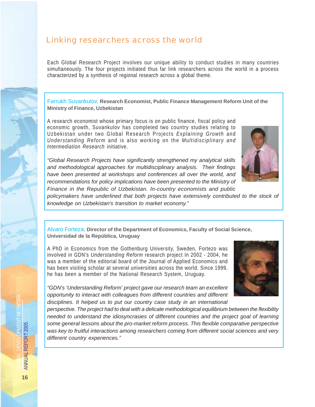### Linking researchers across the world

Each Global Research Project involves our unique ability to conduct studies in many countries simultaneously. The four projects initiated thus far link researchers across the world in a process characterized by a synthesis of regional research across a global theme.

Farrukh Suvankulov, **Research Economist, Public Finance Management Reform Unit of the Ministry of Finance, Uzbekistan**

A research economist whose primary focus is on public finance, fiscal policy and economic growth, Suvankulov has completed two country studies relating to Uzbekistan under two Global Research Projects *Explaining Growth* and *Understanding Reform* and is also working on the *Multidisciplinary and Intermediation Research* initiative.

*"Global Research Projects have significantly strengthened my analytical skills and methodological approaches for multidisciplinary analysis. Their findings have been presented at workshops and conferences all over the world, and recommendations for policy implications have been presented to the Ministry of Finance in the Republic of Uzbekistan. In-country economists and public*



*policymakers have underlined that both projects have extensively contributed to the stock of knowledge on Uzbekistan's transition to market economy."*

Alvaro Forteza, **Director of the Department of Economics, Faculty of Social Science, Universidad de la República, Uruguay**

A PhD in Economics from the Gothenburg University, Sweden, Fortezo was involved in GDN's *Understanding Reform* research project In 2002 - 2004, he was a member of the editorial board of the Journal of Applied Economics and has been visiting scholar at several universities across the world. Since 1999, he has been a member of the National Research System, Uruguay.



*"GDN's 'Understanding Reform' project gave our research team an excellent opportunity to interact with colleagues from different countries and different disciplines. It helped us to put our country case study in an international*

*perspective. The project had to deal with a delicate methodological equilibrium between the flexibility needed to understand the idiosyncrasies of different countries and the project goal of learning some general lessons about the pro-market reform process. This flexible comparative perspective was key to fruitful interactions among researchers coming from different social sciences and very different country experiences."*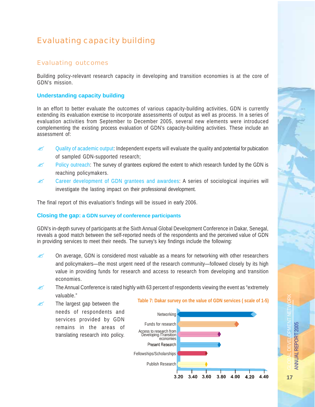# Evaluating capacity building

#### *Evaluating outcomes*

Building policy-relevant research capacity in developing and transition economies is at the core of GDN's mission.

#### **Understanding capacity building**

In an effort to better evaluate the outcomes of various capacity-building activities, GDN is currently extending its evaluation exercise to incorporate assessments of output as well as process. In a series of evaluation activities from September to December 2005, several new elements were introduced complementing the existing process evaluation of GDN's capacity-building activities. These include an assessment of:

- $\approx$  Quality of academic output: Independent experts will evaluate the quality and potential for pubication of sampled GDN-supported research;
- $\approx$  Policy outreach: The survey of grantees explored the extent to which research funded by the GDN is reaching policymakers.
- $\approx$  Career development of GDN grantees and awardees: A series of sociological inquiries will investigate the lasting impact on their professional development.

The final report of this evaluation's findings will be issued in early 2006.

#### **Closing the gap: a GDN survey of conference participants**

GDN's in-depth survey of participants at the Sixth Annual Global Development Conference in Dakar, Senegal, reveals a good match between the self-reported needs of the respondents and the perceived value of GDN in providing services to meet their needs. The survey's key findings include the following:

- $\approx$  On average, GDN is considered most valuable as a means for networking with other researchers and policymakers—the most urgent need of the research community—followed closely by its high value in providing funds for research and access to research from developing and transition economies.
- $\approx$  The Annual Conference is rated highly with 63 percent of respondents viewing the event as "extremely" valuable."
- $\mathscr{L}$  The largest gap between the needs of respondents and services provided by GDN remains in the areas of translating research into policy.

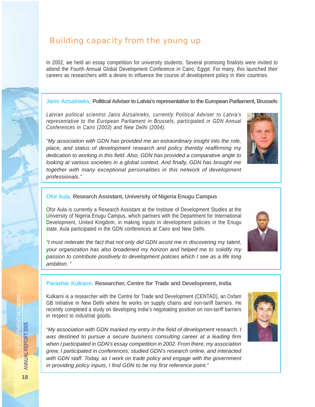# Building capacity from the young up

In 2002, we held an essay competition for university students. Several promising finalists were invited to attend the Fourth Annual Global Development Conference in Cairo, Egypt. For many, this launched their careers as researchers with a desire to influence the course of development policy in their countries.

#### Janis Aizsalnieks, **Political Adviser to Latvia's representative to the European Parliament, Brussels**

*Latvian political scientist Janis Aizsalnieks, currently Political Adviser to Latvia's representative to the European Parliament in Brussels, participated in GDN Annual Conferences in Cairo (2003) and New Delhi (2004).*

*"My association with GDN has provided me an extraordinary insight into the role, place, and status of development research and policy thereby reaffirming my dedication to working in this field. Also, GDN has provided a comparative angle to looking at various societies in a global context. And finally, GDN has brought me together with many exceptional personalities in this network of development professionals."*

#### Ofor Aula, **Research Assistant, University of Nigeria Enugu Campus**

Ofor Aula is currently a Research Assistant at the Institute of Development Studies at the University of Nigeria Enugu Campus, which partners with the Department for International Development, United Kingdom, in making inputs in development policies in the Enugu state. Aula participated in the GDN conferences at Cairo and New Delhi.

*"I must reiterate the fact that not only did GDN assist me in discovering my talent, your organization has also broadened my horizon and helped me to solidify my passion to contribute positively to development policies which I see as a life long ambition. "*



# Parashar Kulkarni, **Researcher, Centre for Trade and Development, India**

Kulkarni is a researcher with the Centre for Trade and Development (CENTAD), an Oxfam GB Initiative in New Delhi where he works on supply chains and non-tariff barriers. He recently completed a study on developing India's negotiating position on non-tariff barriers in respect to industrial goods.

*"My association with GDN marked my entry in the field of development research. I was destined to pursue a secure business consulting career at a leading firm when I participated in GDN's essay competition in 2002. From there, my association grew, I participated in conferences, studied GDN's research online, and interacted with GDN staff. Today, as I work on trade policy and engage with the government in providing policy inputs, I find GDN to be my first reference point."*

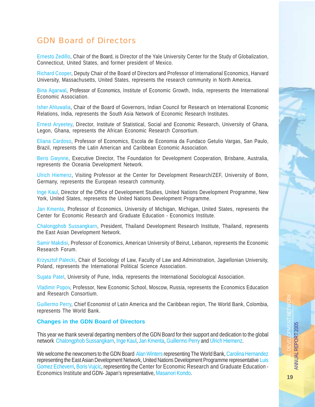# GDN Board of Directors

Ernesto Zedillo, Chair of the Board, is Director of the Yale University Center for the Study of Globalization, Connecticut, United States, and former president of Mexico.

Richard Cooper, Deputy Chair of the Board of Directors and Professor of International Economics, Harvard University, Massachusetts, United States, represents the research community in North America.

Bina Agarwal, Professor of Economics, Institute of Economic Growth, India, represents the International Economic Association.

Isher Ahluwalia, Chair of the Board of Governors, Indian Council for Research on International Economic Relations, India, represents the South Asia Network of Economic Research Institutes.

Ernest Aryeetey, Director, Institute of Statistical, Social and Economic Research, University of Ghana, Legon, Ghana, represents the African Economic Research Consortium.

Eliana Cardoso, Professor of Economics, Escola de Economia da Fundaco Getulio Vargas, San Paulo, Brazil, represents the Latin American and Caribbean Economic Association.

Beris Gwynne, Executive Director, The Foundation for Development Cooperation, Brisbane, Australia, represents the Oceania Development Network.

Ulrich Hiemenz, Visiting Professor at the Center for Development Research/ZEF, University of Bonn, Germany, represents the European research community.

Inge Kaul, Director of the Office of Development Studies, United Nations Development Programme, New York, United States, represents the United Nations Development Programme.

Jan Kmenta, Professor of Economics, University of Michigan, Michigan, United States, represents the Center for Economic Research and Graduate Education - Economics Institute.

Chalongphob Sussangkarn, President, Thailand Development Research Institute, Thailand, represents the East Asian Development Network.

Samir Makdisi, Professor of Economics, American University of Beirut, Lebanon, represents the Economic Research Forum.

Krzysztof Palecki, Chair of Sociology of Law, Faculty of Law and Administration, Jagiellonian University, Poland, represents the International Political Science Association.

Sujata Patel, University of Pune, India, represents the International Sociological Association.

Vladimir Popov, Professor, New Economic School, Moscow, Russia, represents the Economics Education and Research Consortium.

Guillermo Perry, Chief Economist of Latin America and the Caribbean region, The World Bank, Colombia, represents The World Bank.

#### **Changes in the GDN Board of Directors**

This year we thank several departing members of the GDN Board for their support and dedication to the global network Chalongphob Sussangkarn, Inge Kaul, Jan Kmenta, Guillermo Perry and Ulrich Hiemenz.

We welcome the newcomers to the GDN Board Alan Winters representing The World Bank, Carolina Hernandez representing the East Asian Development Network, United Nations Development Programme representative Luis Gomez Echeverri, Boris Vujcic, representing the Center for Economic Research and Graduate Education - Economics Institute and GDN- Japan's representative, Masanori Kondo.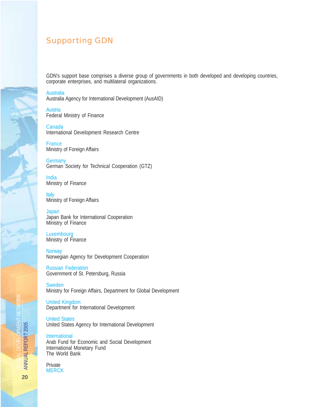# Supporting GDN

GDN's support base comprises a diverse group of governments in both developed and developing countries, corporate enterprises, and multilateral organizations.

**Australia** Australia Agency for International Development (AusAID)

**Austria** Federal Ministry of Finance

Canada International Development Research Centre

France Ministry of Foreign Affairs

**Germany** German Society for Technical Cooperation (GTZ)

India Ministry of Finance

**Italy** Ministry of Foreign Affairs

**Japan** Japan Bank for International Cooperation Ministry of Finance

Luxembourg Ministry of Finance

**Norway** Norwegian Agency for Development Cooperation

Russian Federation Government of St. Petersburg, Russia

Sweden Ministry for Foreign Affairs, Department for Global Development

United Kingdom Department for International Development

United States United States Agency for International Development

International Arab Fund for Economic and Social Development International Monetary Fund The World Bank

#### Private **MERCK**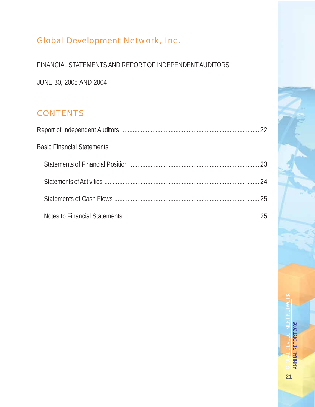# Global Development Network, Inc.

FINANCIAL STATEMENTS AND REPORT OF INDEPENDENT AUDITORS

JUNE 30, 2005 AND 2004

# **CONTENTS**

| <b>Basic Financial Statements</b> |  |
|-----------------------------------|--|
|                                   |  |
|                                   |  |
|                                   |  |
|                                   |  |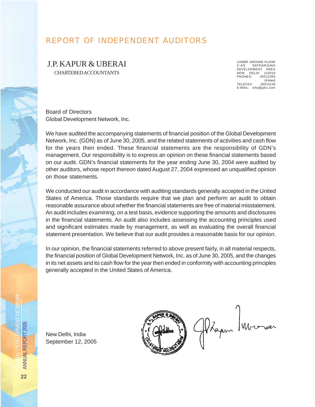# REPORT OF INDEPENDENT AUDITORS

J.P. KAPUR & UBERAI

CHARTERED ACCOUNTANTS

LOWER GROUND FLOOR C-4/5 SAFDARJUNG DEVELOPMENT AREA NEW DELHI 110016 PHONES: 26512393 (4 lines)<br>26511158 TELEFAX: E-MAIL: info@jpku.com

Board of Directors Global Development Network, Inc.

We have audited the accompanying statements of financial position of the Global Development Network, Inc. (GDN) as of June 30, 2005, and the related statements of activities and cash flow for the years then ended. These financial statements are the responsibility of GDN's management. Our responsibility is to express an opinion on these financial statements based on our audit. GDN's financial statements for the year ending June 30, 2004 were audited by other auditors, whose report thereon dated August 27, 2004 expressed an unqualified opinion on those statements.

We conducted our audit in accordance with auditing standards generally accepted in the United States of America. Those standards require that we plan and perform an audit to obtain reasonable assurance about whether the financial statements are free of material misstatement. An audit includes examining, on a test basis, evidence supporting the amounts and disclosures in the financial statements. An audit also includes assessing the accounting principles used and significant estimates made by management, as well as evaluating the overall financial statement presentation. We believe that our audit provides a reasonable basis for our opinion.

In our opinion, the financial statements referred to above present fairly, in all material respects, the financial position of Global Development Network, Inc. as of June 30, 2005, and the changes in its net assets and its cash flow for the year then ended in conformity with accounting principles generally accepted in the United States of America.

New Delhi, India September 12, 2005

Phapur Mrs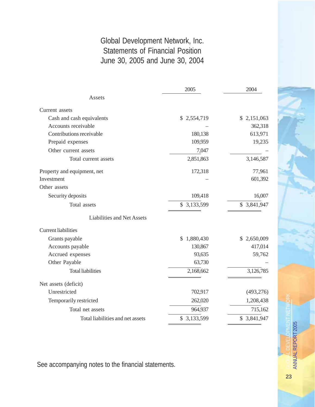# Global Development Network, Inc. Statements of Financial Position June 30, 2005 and June 30, 2004

|                                   | 2005            | 2004         |
|-----------------------------------|-----------------|--------------|
| Assets                            |                 |              |
| Current assets                    |                 |              |
| Cash and cash equivalents         | \$2,554,719     | \$2,151,063  |
| Accounts receivable               |                 | 362,318      |
| Contributions receivable          | 180,138         | 613,971      |
| Prepaid expenses                  | 109,959         | 19,235       |
| Other current assets              | 7,047           |              |
| Total current assets              | 2,851,863       | 3,146,587    |
| Property and equipment, net       | 172,318         | 77,961       |
| Investment                        |                 | 601,392      |
| Other assets                      |                 |              |
| Security deposits                 | 109,418         | 16,007       |
| Total assets                      | \$3,133,599     | \$ 3,841,947 |
| <b>Liabilities and Net Assets</b> |                 |              |
| <b>Current liabilities</b>        |                 |              |
| Grants payable                    | 1,880,430<br>\$ | \$2,650,009  |
| Accounts payable                  | 130,867         | 417,014      |
| Accrued expenses                  | 93,635          | 59,762       |
| Other Payable                     | 63,730          |              |
| <b>Total liabilities</b>          | 2,168,662       | 3,126,785    |
| Net assets (deficit)              |                 |              |
| Unrestricted                      | 702,917         | (493, 276)   |
| Temporarily restricted            | 262,020         | 1,208,438    |
| Total net assets                  | 964,937         | 715,162      |
| Total liabilities and net assets  | \$ 3,133,599    | \$ 3,841,947 |

See accompanying notes to the financial statements.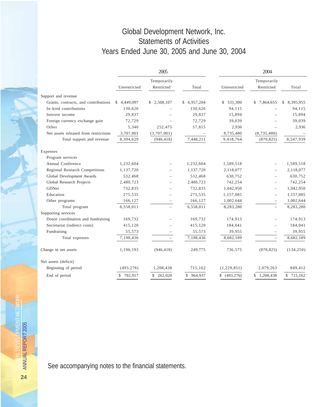# Global Development Network, Inc. Statements of Activities Years Ended June 30, 2005 and June 30, 2004

|                                       | 2005         |                           | 2004        |              |                           |                 |
|---------------------------------------|--------------|---------------------------|-------------|--------------|---------------------------|-----------------|
|                                       | Unrestricted | Temporarily<br>Restricted | Total       | Unrestricted | Temporarily<br>Restricted | Total           |
| Support and revenue                   |              |                           |             |              |                           |                 |
| Grants, contracts, and contributions  | \$4,449,097  | \$2,508,107               | \$6,957,204 | \$531,300    | \$7,864,655               | 8,395,955<br>\$ |
| In-kind contributions                 | 130,626      |                           | 130,626     | 94,115       |                           | 94,115          |
| Interest income                       | 29,837       |                           | 29,837      | 15,894       |                           | 15,894          |
| Foreign currency exchange gain        | 72,729       |                           | 72,729      | 39,039       |                           | 39,039          |
| Other                                 | 5,340        | 252,475                   | 57,815      | 2,936        |                           | 2,936           |
| Net assets released from restrictions | 3,707,001    | (3,707,001)               |             | 8,735,480    | (8,735,480)               |                 |
| Total support and revenue             | 8,394,629    | (946, 418)                | 7,448,211   | 9,418,764    | (870, 825)                | 8,547,939       |
| Expenses                              |              |                           |             |              |                           |                 |
| Program services                      |              |                           |             |              |                           |                 |
| Annual Conference                     | 1,232,604    |                           | 1,232,604   | 1,589,518    |                           | 1,589,518       |
| Regional Research Competitions        | 1,137,720    | $\overline{\phantom{0}}$  | 1,137,720   | 2,118,077    | $\overline{\phantom{0}}$  | 2,118,077       |
| Global Development Awards             | 532,468      | $\overline{\phantom{0}}$  | 532,468     | 630,752      | $\overline{\phantom{0}}$  | 630,752         |
| Global Research Projects              | 2,480,723    | $\overline{\phantom{0}}$  | 2,480,723   | 742,254      |                           | 742,254         |
| GDNet                                 | 732,835      |                           | 732,835     | 1,042,950    | $\overline{\phantom{0}}$  | 1,042,950       |
| Education                             | 275,535      | $\overline{\phantom{0}}$  | 275,535     | 1,157,085    | $\overline{\phantom{0}}$  | 1,157,085       |
| Other programs                        | 166,127      |                           | 166,127     | 1,002,644    |                           | 1,002,644       |
| Total program                         | 6,558,011    |                           | 6,558,011   | 8,283,280    | $\overline{\phantom{0}}$  | 8,283,280       |
| Supporting services                   |              |                           |             |              |                           |                 |
| Donor coordination and fundraising    | 169,732      |                           | 169,732     | 174,913      |                           | 174,913         |
| Secretariat (indirect costs)          | 415,120      | $\overline{\phantom{0}}$  | 415,120     | 184,041      | $\overline{\phantom{0}}$  | 184,041         |
| Fundraising                           | 55,573       |                           | 55,573      | 39,955       | $\qquad \qquad -$         | 39,955          |
| Total expenses                        | 7,198,436    | $\overline{\phantom{0}}$  | 7,198,436   | 8,682,189    | $\overline{\phantom{0}}$  | 8,682,189       |
| Change in net assets                  | 1,196,193    | (946, 418)                | 249,775     | 736,575      | (870, 825)                | (134, 250)      |
| Net assets (deficit)                  |              |                           |             |              |                           |                 |
| Beginning of period                   | (493, 276)   | 1,208,438                 | 715,162     | (1,229,851)  | 2,079,263                 | 849,412         |
| End of period                         | \$702,917    | \$262,020                 | \$964,937   | \$(493,276)  | \$1,208,438               | \$715,162       |

See accompanying notes to the financial statements.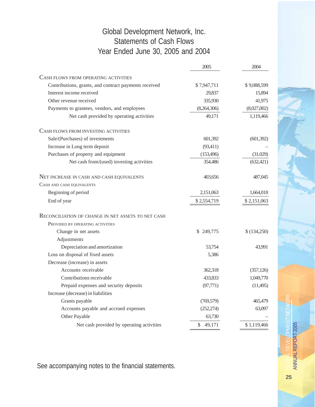# Global Development Network, Inc. Statements of Cash Flows Year Ended June 30, 2005 and 2004

|                                                       | 2005         | 2004        |
|-------------------------------------------------------|--------------|-------------|
| CASH FLOWS FROM OPERATING ACTIVITIES                  |              |             |
| Contributions, grants, and contract payments received | \$7,947,711  | \$9,088,599 |
| Interest income received                              | 29,837       | 15,894      |
| Other revenue received                                | 335,930      | 41,975      |
| Payments to grantees, vendors, and employees          | (8,264,306)  | (8,027,002) |
| Net cash provided by operating activities             | 49,171       | 1,119,466   |
| CASH FLOWS FROM INVESTING ACTIVITIES                  |              |             |
| Sale/(Purchases) of investments                       | 601,392      | (601, 392)  |
| Increase in Long term deposit                         | (93, 411)    |             |
| Purchases of property and equipment                   | (153, 496)   | (31,029)    |
| Net cash from/(used) investing activities             | 354,486      | (632, 421)  |
| NET INCREASE IN CASH AND CASH EQUIVALENTS             | 403,656      | 487,045     |
| CASH AND CASH EQUIVALENTS                             |              |             |
| Beginning of period                                   | 2,151,063    | 1,664,018   |
| End of year                                           | \$2,554,719  | \$2,151,063 |
| RECONCILIATION OF CHANGE IN NET ASSETS TO NET CASH    |              |             |
| PROVIDED BY OPERATING ACTIVITIES                      |              |             |
| Change in net assets                                  | \$249,775    | \$(134,250) |
| Adjustments                                           |              |             |
| Depreciation and amortization                         | 53,754       | 43,991      |
| Loss on disposal of fixed assets                      | 5,386        |             |
| Decrease (increase) in assets                         |              |             |
| Accounts receivable                                   | 362,318      | (357, 126)  |
| Contributions receivable                              | 433,833      | 1,049,770   |
| Prepaid expenses and security deposits                | (97, 771)    | (11,495)    |
| Increase (decrease) in liabilities                    |              |             |
| Grants payable                                        | (769, 579)   | 465,479     |
| Accounts payable and accrued expenses                 | (252, 274)   | 63,097      |
| Other Payable                                         | 63,730       |             |
| Net cash provided by operating activities             | \$<br>49,171 | \$1,119,466 |

See accompanying notes to the financial statements.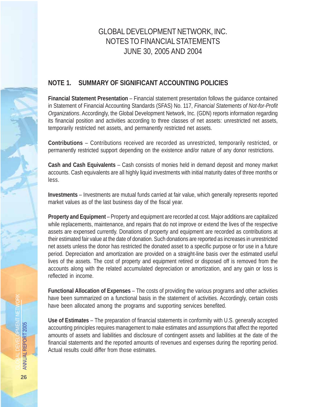# GLOBAL DEVELOPMENT NETWORK, INC. NOTES TO FINANCIAL STATEMENTS JUNE 30, 2005 AND 2004

# **NOTE 1. SUMMARY OF SIGNIFICANT ACCOUNTING POLICIES**

**Financial Statement Presentation** – Financial statement presentation follows the guidance contained in Statement of Financial Accounting Standards (SFAS) No. 117, *Financial Statements of Not-for-Profit Organizations*. Accordingly, the Global Development Network, Inc. (GDN) reports information regarding its financial position and activities according to three classes of net assets: unrestricted net assets, temporarily restricted net assets, and permanently restricted net assets.

**Contributions** – Contributions received are recorded as unrestricted, temporarily restricted, or permanently restricted support depending on the existence and/or nature of any donor restrictions.

**Cash and Cash Equivalents** – Cash consists of monies held in demand deposit and money market accounts. Cash equivalents are all highly liquid investments with initial maturity dates of three months or less.

**Investments** – Investments are mutual funds carried at fair value, which generally represents reported market values as of the last business day of the fiscal year.

**Property and Equipment** – Property and equipment are recorded at cost. Major additions are capitalized while replacements, maintenance, and repairs that do not improve or extend the lives of the respective assets are expensed currently. Donations of property and equipment are recorded as contributions at their estimated fair value at the date of donation. Such donations are reported as increases in unrestricted net assets unless the donor has restricted the donated asset to a specific purpose or for use in a future period. Depreciation and amortization are provided on a straight-line basis over the estimated useful lives of the assets. The cost of property and equipment retired or disposed off is removed from the accounts along with the related accumulated depreciation or amortization, and any gain or loss is reflected in income.

**Functional Allocation of Expenses** – The costs of providing the various programs and other activities have been summarized on a functional basis in the statement of activities. Accordingly, certain costs have been allocated among the programs and supporting services benefited.

**Use of Estimates** – The preparation of financial statements in conformity with U.S. generally accepted accounting principles requires management to make estimates and assumptions that affect the reported amounts of assets and liabilities and disclosure of contingent assets and liabilities at the date of the financial statements and the reported amounts of revenues and expenses during the reporting period. Actual results could differ from those estimates.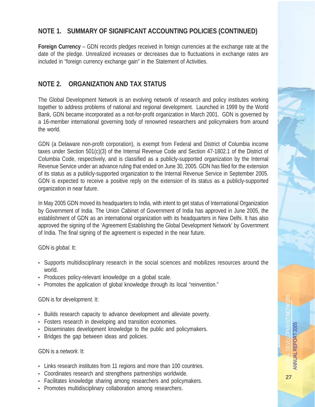### **NOTE 1. SUMMARY OF SIGNIFICANT ACCOUNTING POLICIES (CONTINUED)**

**Foreign Currency** – GDN records pledges received in foreign currencies at the exchange rate at the date of the pledge. Unrealized increases or decreases due to fluctuations in exchange rates are included in "foreign currency exchange gain" in the Statement of Activities.

## **NOTE 2. ORGANIZATION AND TAX STATUS**

The Global Development Network is an evolving network of research and policy institutes working together to address problems of national and regional development. Launched in 1999 by the World Bank, GDN became incorporated as a not-for-profit organization in March 2001. GDN is governed by a 16-member international governing body of renowned researchers and policymakers from around the world.

GDN (a Delaware non-profit corporation), is exempt from Federal and District of Columbia income taxes under Section 501(c)(3) of the Internal Revenue Code and Section 47-1802.1 of the District of Columbia Code, respectively, and is classified as a publicly-supported organization by the Internal Revenue Service under an advance ruling that ended on June 30, 2005. GDN has filed for the extension of its status as a publicly-supported organization to the Internal Revenue Service in September 2005. GDN is expected to receive a positive reply on the extension of its status as a publicly-supported organization in near future.

In May 2005 GDN moved its headquarters to India, with intent to get status of International Organization by Government of India. The Union Cabinet of Government of India has approved in June 2005, the establishment of GDN as an international organization with its headquarters in New Delhi. It has also approved the signing of the 'Agreement Establishing the Global Development Network' by Government of India. The final signing of the agreement is expected in the near future.

#### GDN is *global.* It:

- Supports multidisciplinary research in the social sciences and mobilizes resources around the world.
- Produces policy-relevant knowledge on a global scale.
- Promotes the application of global knowledge through its local "reinvention."

#### GDN is for *development.* It:

- Builds research capacity to advance development and alleviate poverty.
- Fosters research in developing and transition economies.
- Disseminates development knowledge to the public and policymakers.
- Bridges the gap between ideas and policies.

#### GDN is a *network.* It:

- Links research institutes from 11 regions and more than 100 countries.
- Coordinates research and strengthens partnerships worldwide.
- Facilitates knowledge sharing among researchers and policymakers.
- Promotes multidisciplinary collaboration among researchers.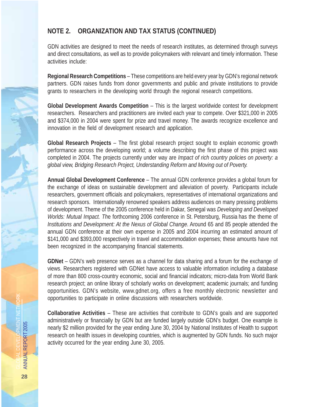## **NOTE 2. ORGANIZATION AND TAX STATUS (CONTINUED)**

GDN activities are designed to meet the needs of research institutes, as determined through surveys and direct consultations, as well as to provide policymakers with relevant and timely information. These activities include:

**Regional Research Competitions** – These competitions are held every year by GDN's regional network partners. GDN raises funds from donor governments and public and private institutions to provide grants to researchers in the developing world through the regional research competitions.

**Global Development Awards Competition** – This is the largest worldwide contest for development researchers. Researchers and practitioners are invited each year to compete. Over \$321,000 in 2005 and \$374,000 in 2004 were spent for prize and travel money. The awards recognize excellence and innovation in the field of development research and application.

**Global Research Projects** – The first global research project sought to explain economic growth performance across the developing world; a volume describing the first phase of this project was completed in 2004. The projects currently under way are *Impact of rich country policies on poverty: a global view, Bridging Research Project, Understanding Reform and Moving out of Poverty.*

**Annual Global Development Conference** – The annual GDN conference provides a global forum for the exchange of ideas on sustainable development and alleviation of poverty. Participants include researchers, government officials and policymakers, representatives of international organizations and research sponsors. Internationally renowned speakers address audiences on many pressing problems of development. Theme of the 2005 conference held in Dakar, Senegal was *Developing and Developed Worlds: Mutual Impact. Th*e forthcoming 2006 conference in St. Petersburg, Russia has the theme of *Institutions and Development: At the Nexus of Global Change*. Around 65 and 85 people attended the annual GDN conference at their own expense in 2005 and 2004 incurring an estimated amount of \$141,000 and \$393,000 respectively in travel and accommodation expenses; these amounts have not been recognized in the accompanying financial statements.

**GDNet** – GDN's web presence serves as a channel for data sharing and a forum for the exchange of views. Researchers registered with GDNet have access to valuable information including a database of more than 800 cross-country economic, social and financial indicators; micro-data from World Bank research project; an online library of scholarly works on development; academic journals; and funding opportunities. GDN's website, www.gdnet.org, offers a free monthly electronic newsletter and opportunities to participate in online discussions with researchers worldwide.

**Collaborative Activities** – These are activities that contribute to GDN's goals and are supported administratively or financially by GDN but are funded largely outside GDN's budget. One example is nearly \$2 million provided for the year ending June 30, 2004 by National Institutes of Health to support research on health issues in developing countries, which is augmented by GDN funds. No such major activity occurred for the year ending June 30, 2005.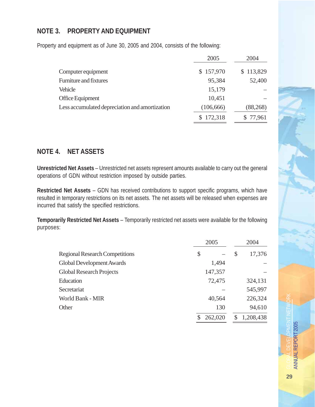### **NOTE 3. PROPERTY AND EQUIPMENT**

Property and equipment as of June 30, 2005 and 2004, consists of the following:

|                                                | 2005       | 2004      |
|------------------------------------------------|------------|-----------|
| Computer equipment                             | \$157,970  | \$113,829 |
| <b>Furniture and fixtures</b>                  | 95,384     | 52,400    |
| Vehicle                                        | 15,179     |           |
| Office Equipment                               | 10,451     |           |
| Less accumulated depreciation and amortization | (106, 666) | (88, 268) |
|                                                | \$172,318  | \$77,961  |

### **NOTE 4. NET ASSETS**

**Unrestricted Net Assets** – Unrestricted net assets represent amounts available to carry out the general operations of GDN without restriction imposed by outside parties.

**Restricted Net Assets** – GDN has received contributions to support specific programs, which have resulted in temporary restrictions on its net assets. The net assets will be released when expenses are incurred that satisfy the specified restrictions.

**Temporarily Restricted Net Assets** – Temporarily restricted net assets were available for the following purposes:

|                                       | 2005    |               | 2004      |
|---------------------------------------|---------|---------------|-----------|
| <b>Regional Research Competitions</b> | \$      | $\mathcal{S}$ | 17,376    |
| Global Development Awards             | 1,494   |               |           |
| <b>Global Research Projects</b>       | 147,357 |               |           |
| Education                             | 72,475  |               | 324,131   |
| Secretariat                           |         |               | 545,997   |
| World Bank - MIR                      | 40,564  |               | 226,324   |
| Other                                 | 130     |               | 94,610    |
|                                       | 262,020 | S             | 1,208,438 |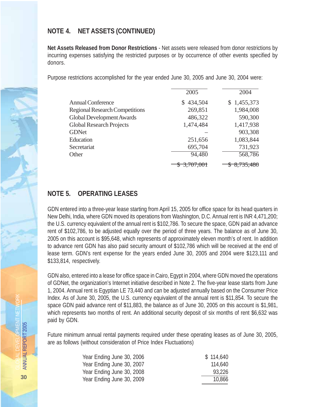### **NOTE 4. NET ASSETS (CONTINUED)**

**Net Assets Released from Donor Restrictions** - Net assets were released from donor restrictions by incurring expenses satisfying the restricted purposes or by occurrence of other events specified by donors.

Purpose restrictions accomplished for the year ended June 30, 2005 and June 30, 2004 were:

|                                       | 2005                 | 2004                 |
|---------------------------------------|----------------------|----------------------|
| <b>Annual Conference</b>              | 434,504<br>S.        | \$1,455,373          |
| <b>Regional Research Competitions</b> | 269,851              | 1,984,008            |
| <b>Global Development Awards</b>      | 486,322              | 590,300              |
| <b>Global Research Projects</b>       | 1,474,484            | 1,417,938            |
| <b>GDNet</b>                          |                      | 903,308              |
| Education                             | 251,656              | 1,083,844            |
| Secretariat                           | 695,704              | 731,923              |
| Other                                 | 94,480               | 568,786              |
|                                       | <del>3.707.001</del> | <del>8,735,480</del> |

## **NOTE 5. OPERATING LEASES**

GDN entered into a three-year lease starting from April 15, 2005 for office space for its head quarters in New Delhi, India, where GDN moved its operations from Washington, D.C. Annual rent is INR 4,471,200; the U.S. currency equivalent of the annual rent is \$102,786. To secure the space, GDN paid an advance rent of \$102,786, to be adjusted equally over the period of three years. The balance as of June 30, 2005 on this account is \$95,648, which represents of approximately eleven month's of rent. In addition to advance rent GDN has also paid security amount of \$102,786 which will be received at the end of lease term. GDN's rent expense for the years ended June 30, 2005 and 2004 were \$123,111 and \$133,814, respectively.

GDN also, entered into a lease for office space in Cairo, Egypt in 2004, where GDN moved the operations of GDNet, the organization's Internet initiative described in Note 2. The five-year lease starts from June 1, 2004. Annual rent is Egyptian LE 73,440 and can be adjusted annually based on the Consumer Price Index. As of June 30, 2005, the U.S. currency equivalent of the annual rent is \$11,854. To secure the space GDN paid advance rent of \$11,883, the balance as of June 30, 2005 on this account is \$1,981, which represents two months of rent. An additional security deposit of six months of rent \$6,632 was paid by GDN.

Future minimum annual rental payments required under these operating leases as of June 30, 2005, are as follows (without consideration of Price Index Fluctuations)

| \$114,640 |
|-----------|
| 114,640   |
| 93,226    |
| 10,866    |
|           |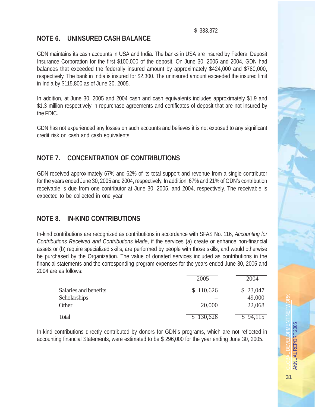\$ 333,372

### **NOTE 6. UNINSURED CASH BALANCE**

GDN maintains its cash accounts in USA and India. The banks in USA are insured by Federal Deposit Insurance Corporation for the first \$100,000 of the deposit. On June 30, 2005 and 2004, GDN had balances that exceeded the federally insured amount by approximately \$424,000 and \$780,000, respectively. The bank in India is insured for \$2,300. The uninsured amount exceeded the insured limit in India by \$115,800 as of June 30, 2005.

In addition, at June 30, 2005 and 2004 cash and cash equivalents includes approximately \$1.9 and \$1.3 million respectively in repurchase agreements and certificates of deposit that are not insured by the FDIC.

GDN has not experienced any losses on such accounts and believes it is not exposed to any significant credit risk on cash and cash equivalents.

# **NOTE 7. CONCENTRATION OF CONTRIBUTIONS**

GDN received approximately 67% and 62% of its total support and revenue from a single contributor for the years ended June 30, 2005 and 2004, respectively. In addition, 67% and 21% of GDN's contribution receivable is due from one contributor at June 30, 2005, and 2004, respectively. The receivable is expected to be collected in one year.

# **NOTE 8. IN-KIND CONTRIBUTIONS**

In-kind contributions are recognized as contributions in accordance with SFAS No. 116, *Accounting for Contributions Received and Contributions Made*, if the services (a) create or enhance non-financial assets or (b) require specialized skills, are performed by people with those skills, and would otherwise be purchased by the Organization. The value of donated services included as contributions in the financial statements and the corresponding program expenses for the years ended June 30, 2005 and 2004 are as follows:

|                       | 2005      | 2004     |
|-----------------------|-----------|----------|
| Salaries and benefits | \$110,626 | \$23,047 |
| Scholarships          |           | 49,000   |
| Other                 | 20,000    | 22,068   |
| Total                 | 130,626   | 94.115   |

In-kind contributions directly contributed by donors for GDN's programs, which are not reflected in accounting financial Statements, were estimated to be \$ 296,000 for the year ending June 30, 2005.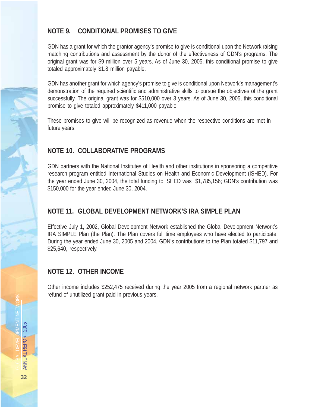### **NOTE 9. CONDITIONAL PROMISES TO GIVE**

GDN has a grant for which the grantor agency's promise to give is conditional upon the Network raising matching contributions and assessment by the donor of the effectiveness of GDN's programs. The original grant was for \$9 million over 5 years. As of June 30, 2005, this conditional promise to give totaled approximately \$1.8 million payable.

GDN has another grant for which agency's promise to give is conditional upon Network's management's demonstration of the required scientific and administrative skills to pursue the objectives of the grant successfully. The original grant was for \$510,000 over 3 years. As of June 30, 2005, this conditional promise to give totaled approximately \$411,000 payable.

These promises to give will be recognized as revenue when the respective conditions are met in future years.

# **NOTE 10. COLLABORATIVE PROGRAMS**

GDN partners with the National Institutes of Health and other institutions in sponsoring a competitive research program entitled International Studies on Health and Economic Development (ISHED). For the year ended June 30, 2004, the total funding to ISHED was \$1,785,156; GDN's contribution was \$150,000 for the year ended June 30, 2004.

# **NOTE 11. GLOBAL DEVELOPMENT NETWORK'S IRA SIMPLE PLAN**

Effective July 1, 2002, Global Development Network established the Global Development Network's IRA SIMPLE Plan (the Plan). The Plan covers full time employees who have elected to participate. During the year ended June 30, 2005 and 2004, GDN's contributions to the Plan totaled \$11,797 and \$25,640, respectively.

### **NOTE 12. OTHER INCOME**

Other income includes \$252,475 received during the year 2005 from a regional network partner as refund of unutilized grant paid in previous years.